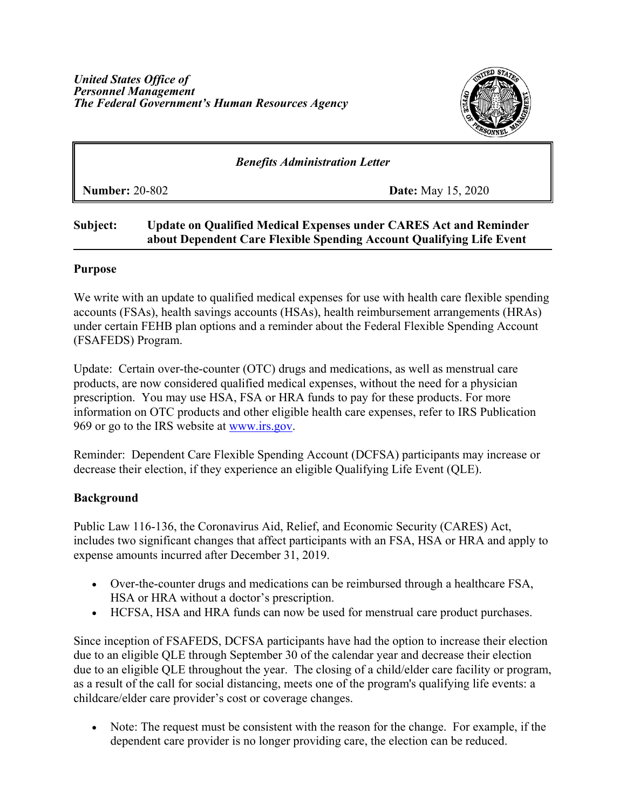

## *Benefits Administration Letter*

**Number:** 20-802 **Date:** May 15, 2020

# **Subject: Update on Qualified Medical Expenses under CARES Act and Reminder about Dependent Care Flexible Spending Account Qualifying Life Event**

#### **Purpose**

We write with an update to qualified medical expenses for use with health care flexible spending accounts (FSAs), health savings accounts (HSAs), health reimbursement arrangements (HRAs) under certain FEHB plan options and a reminder about the Federal Flexible Spending Account (FSAFEDS) Program.

Update: Certain over-the-counter (OTC) drugs and medications, as well as menstrual care products, are now considered qualified medical expenses, without the need for a physician prescription. You may use HSA, FSA or HRA funds to pay for these products. For more information on OTC products and other eligible health care expenses, refer to IRS Publication [969](https://www.irs.gov/pub/irs-pdf/p969.pdf) or go to the IRS website at [www.irs.gov.](http://www.irs.gov/)

Reminder: Dependent Care Flexible Spending Account (DCFSA) participants may increase or decrease their election, if they experience an eligible Qualifying Life Event (QLE).

### **Background**

Public Law 116-136, the Coronavirus Aid, Relief, and Economic Security (CARES) Act, includes two significant changes that affect participants with an FSA, HSA or HRA and apply to expense amounts incurred after December 31, 2019.

- Over-the-counter drugs and medications can be reimbursed through a healthcare FSA, HSA or HRA without a doctor's prescription.
- HCFSA, HSA and HRA funds can now be used for menstrual care product purchases.

Since inception of FSAFEDS, DCFSA participants have had the option to increase their election due to an eligible QLE through September 30 of the calendar year and decrease their election due to an eligible QLE throughout the year. The closing of a child/elder care facility or program, as a result of the call for social distancing, meets one of the program's qualifying life events: a childcare/elder care provider's cost or coverage changes.

• Note: The request must be consistent with the reason for the change. For example, if the dependent care provider is no longer providing care, the election can be reduced.